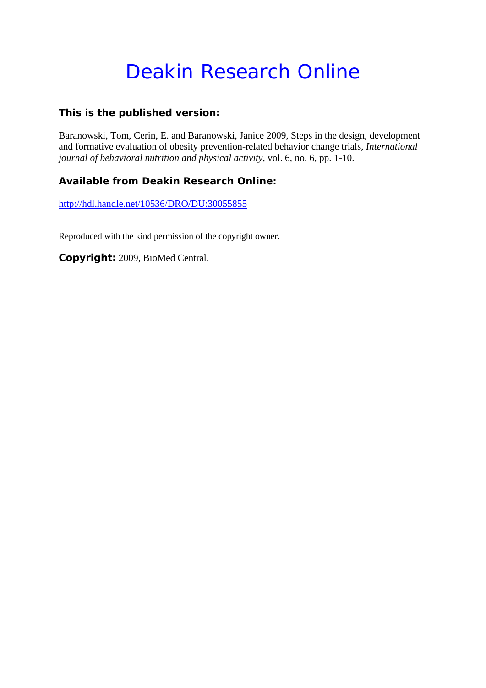# Deakin Research Online

## **This is the published version:**

Baranowski, Tom, Cerin, E. and Baranowski, Janice 2009, Steps in the design, development and formative evaluation of obesity prevention-related behavior change trials*, International journal of behavioral nutrition and physical activity*, vol. 6, no. 6, pp. 1-10.

## **Available from Deakin Research Online:**

http://hdl.handle.net/10536/DRO/DU:30055855

Reproduced with the kind permission of the copyright owner.

**Copyright:** 2009, BioMed Central.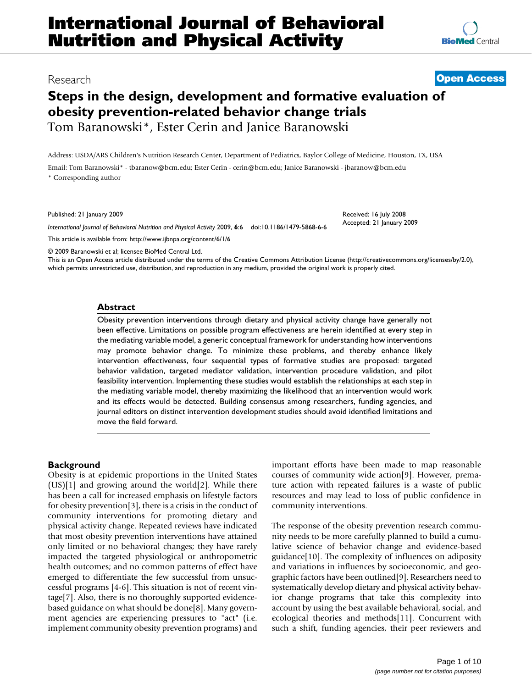### Research **[Open Access](http://www.biomedcentral.com/info/about/charter/)**

# **Steps in the design, development and formative evaluation of obesity prevention-related behavior change trials** Tom Baranowski\*, Ester Cerin and Janice Baranowski

Address: USDA/ARS Children's Nutrition Research Center, Department of Pediatrics, Baylor College of Medicine, Houston, TX, USA

Email: Tom Baranowski\* - tbaranow@bcm.edu; Ester Cerin - cerin@bcm.edu; Janice Baranowski - jbaranow@bcm.edu \* Corresponding author

Published: 21 January 2009

*International Journal of Behavioral Nutrition and Physical Activity* 2009, **6**:6 doi:10.1186/1479-5868-6-6

[This article is available from: http://www.ijbnpa.org/content/6/1/6](http://www.ijbnpa.org/content/6/1/6)

© 2009 Baranowski et al; licensee BioMed Central Ltd.

This is an Open Access article distributed under the terms of the Creative Commons Attribution License [\(http://creativecommons.org/licenses/by/2.0\)](http://creativecommons.org/licenses/by/2.0), which permits unrestricted use, distribution, and reproduction in any medium, provided the original work is properly cited.

#### **Abstract**

Obesity prevention interventions through dietary and physical activity change have generally not been effective. Limitations on possible program effectiveness are herein identified at every step in the mediating variable model, a generic conceptual framework for understanding how interventions may promote behavior change. To minimize these problems, and thereby enhance likely intervention effectiveness, four sequential types of formative studies are proposed: targeted behavior validation, targeted mediator validation, intervention procedure validation, and pilot feasibility intervention. Implementing these studies would establish the relationships at each step in the mediating variable model, thereby maximizing the likelihood that an intervention would work and its effects would be detected. Building consensus among researchers, funding agencies, and journal editors on distinct intervention development studies should avoid identified limitations and move the field forward.

#### **Background**

Obesity is at epidemic proportions in the United States (US)[1] and growing around the world[2]. While there has been a call for increased emphasis on lifestyle factors for obesity prevention[3], there is a crisis in the conduct of community interventions for promoting dietary and physical activity change. Repeated reviews have indicated that most obesity prevention interventions have attained only limited or no behavioral changes; they have rarely impacted the targeted physiological or anthropometric health outcomes; and no common patterns of effect have emerged to differentiate the few successful from unsuccessful programs [4-6]. This situation is not of recent vintage[7]. Also, there is no thoroughly supported evidencebased guidance on what should be done[8]. Many government agencies are experiencing pressures to "act" (i.e. implement community obesity prevention programs) and

important efforts have been made to map reasonable courses of community wide action[9]. However, premature action with repeated failures is a waste of public resources and may lead to loss of public confidence in community interventions.

Received: 16 July 2008 Accepted: 21 January 2009

The response of the obesity prevention research community needs to be more carefully planned to build a cumulative science of behavior change and evidence-based guidance[10]. The complexity of influences on adiposity and variations in influences by socioeconomic, and geographic factors have been outlined[9]. Researchers need to systematically develop dietary and physical activity behavior change programs that take this complexity into account by using the best available behavioral, social, and ecological theories and methods[11]. Concurrent with such a shift, funding agencies, their peer reviewers and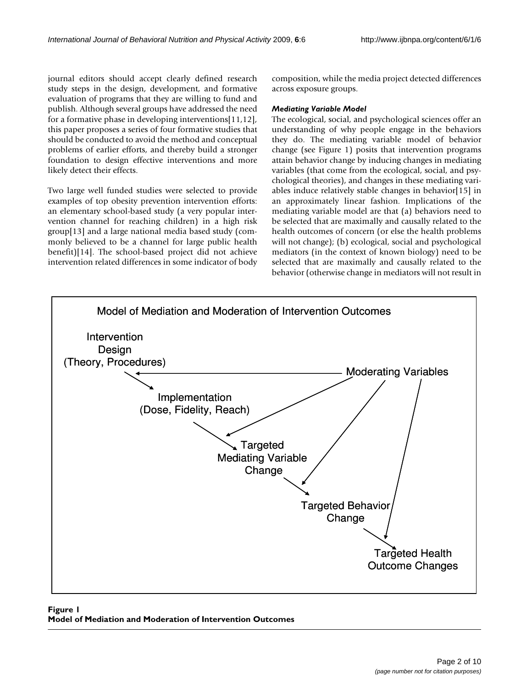journal editors should accept clearly defined research study steps in the design, development, and formative evaluation of programs that they are willing to fund and publish. Although several groups have addressed the need for a formative phase in developing interventions[11,12], this paper proposes a series of four formative studies that should be conducted to avoid the method and conceptual problems of earlier efforts, and thereby build a stronger foundation to design effective interventions and more likely detect their effects.

Two large well funded studies were selected to provide examples of top obesity prevention intervention efforts: an elementary school-based study (a very popular intervention channel for reaching children) in a high risk group[13] and a large national media based study (commonly believed to be a channel for large public health benefit)[14]. The school-based project did not achieve intervention related differences in some indicator of body composition, while the media project detected differences across exposure groups.

#### *Mediating Variable Model*

The ecological, social, and psychological sciences offer an understanding of why people engage in the behaviors they do. The mediating variable model of behavior change (see Figure 1) posits that intervention programs attain behavior change by inducing changes in mediating variables (that come from the ecological, social, and psychological theories), and changes in these mediating variables induce relatively stable changes in behavior[15] in an approximately linear fashion. Implications of the mediating variable model are that (a) behaviors need to be selected that are maximally and causally related to the health outcomes of concern (or else the health problems will not change); (b) ecological, social and psychological mediators (in the context of known biology) need to be selected that are maximally and causally related to the behavior (otherwise change in mediators will not result in



#### **Figure 1 Model of Mediation and Moderation of Intervention Outcomes**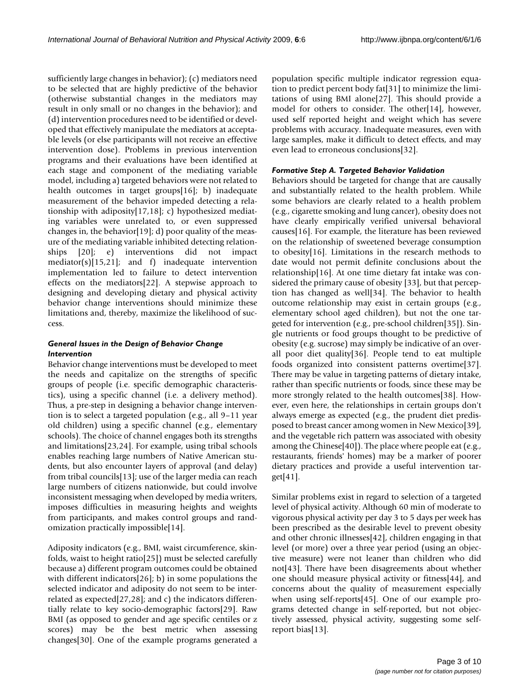sufficiently large changes in behavior); (c) mediators need to be selected that are highly predictive of the behavior (otherwise substantial changes in the mediators may result in only small or no changes in the behavior); and (d) intervention procedures need to be identified or developed that effectively manipulate the mediators at acceptable levels (or else participants will not receive an effective intervention dose). Problems in previous intervention programs and their evaluations have been identified at each stage and component of the mediating variable model, including a) targeted behaviors were not related to health outcomes in target groups[16]; b) inadequate measurement of the behavior impeded detecting a relationship with adiposity[17,18]; c) hypothesized mediating variables were unrelated to, or even suppressed changes in, the behavior[19]; d) poor quality of the measure of the mediating variable inhibited detecting relationships [20]; e) interventions did not impact mediator(s)[15,21]; and f) inadequate intervention implementation led to failure to detect intervention effects on the mediators[22]. A stepwise approach to designing and developing dietary and physical activity behavior change interventions should minimize these limitations and, thereby, maximize the likelihood of success.

#### *General Issues in the Design of Behavior Change Intervention*

Behavior change interventions must be developed to meet the needs and capitalize on the strengths of specific groups of people (i.e. specific demographic characteristics), using a specific channel (i.e. a delivery method). Thus, a pre-step in designing a behavior change intervention is to select a targeted population (e.g., all 9–11 year old children) using a specific channel (e.g., elementary schools). The choice of channel engages both its strengths and limitations[23,24]. For example, using tribal schools enables reaching large numbers of Native American students, but also encounter layers of approval (and delay) from tribal councils[13]; use of the larger media can reach large numbers of citizens nationwide, but could involve inconsistent messaging when developed by media writers, imposes difficulties in measuring heights and weights from participants, and makes control groups and randomization practically impossible[14].

Adiposity indicators (e.g., BMI, waist circumference, skinfolds, waist to height ratio[25]) must be selected carefully because a) different program outcomes could be obtained with different indicators[26]; b) in some populations the selected indicator and adiposity do not seem to be interrelated as expected[27,28]; and c) the indicators differentially relate to key socio-demographic factors[29]. Raw BMI (as opposed to gender and age specific centiles or z scores) may be the best metric when assessing changes[30]. One of the example programs generated a population specific multiple indicator regression equation to predict percent body fat[31] to minimize the limitations of using BMI alone[27]. This should provide a model for others to consider. The other[14], however, used self reported height and weight which has severe problems with accuracy. Inadequate measures, even with large samples, make it difficult to detect effects, and may even lead to erroneous conclusions[32].

#### *Formative Step A. Targeted Behavior Validation*

Behaviors should be targeted for change that are causally and substantially related to the health problem. While some behaviors are clearly related to a health problem (e.g., cigarette smoking and lung cancer), obesity does not have clearly empirically verified universal behavioral causes[16]. For example, the literature has been reviewed on the relationship of sweetened beverage consumption to obesity[16]. Limitations in the research methods to date would not permit definite conclusions about the relationship[16]. At one time dietary fat intake was considered the primary cause of obesity [33], but that perception has changed as well[34]. The behavior to health outcome relationship may exist in certain groups (e.g., elementary school aged children), but not the one targeted for intervention (e.g., pre-school children[35]). Single nutrients or food groups thought to be predictive of obesity (e.g. sucrose) may simply be indicative of an overall poor diet quality[36]. People tend to eat multiple foods organized into consistent patterns overtime[37]. There may be value in targeting patterns of dietary intake, rather than specific nutrients or foods, since these may be more strongly related to the health outcomes[38]. However, even here, the relationships in certain groups don't always emerge as expected (e.g., the prudent diet predisposed to breast cancer among women in New Mexico[39], and the vegetable rich pattern was associated with obesity among the Chinese[40]). The place where people eat (e.g., restaurants, friends' homes) may be a marker of poorer dietary practices and provide a useful intervention target[41].

Similar problems exist in regard to selection of a targeted level of physical activity. Although 60 min of moderate to vigorous physical activity per day 3 to 5 days per week has been prescribed as the desirable level to prevent obesity and other chronic illnesses[42], children engaging in that level (or more) over a three year period (using an objective measure) were not leaner than children who did not[43]. There have been disagreements about whether one should measure physical activity or fitness[44], and concerns about the quality of measurement especially when using self-reports[45]. One of our example programs detected change in self-reported, but not objectively assessed, physical activity, suggesting some selfreport bias[13].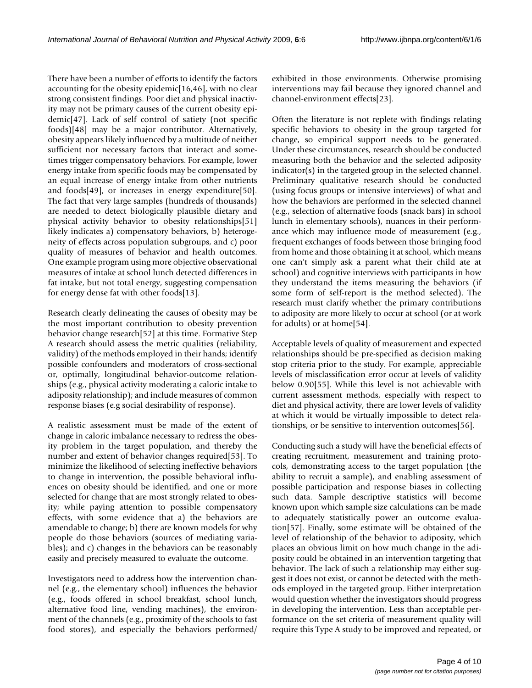There have been a number of efforts to identify the factors accounting for the obesity epidemic[16,46], with no clear strong consistent findings. Poor diet and physical inactivity may not be primary causes of the current obesity epidemic[47]. Lack of self control of satiety (not specific foods)[48] may be a major contributor. Alternatively, obesity appears likely influenced by a multitude of neither sufficient nor necessary factors that interact and sometimes trigger compensatory behaviors. For example, lower energy intake from specific foods may be compensated by an equal increase of energy intake from other nutrients and foods[49], or increases in energy expenditure[50]. The fact that very large samples (hundreds of thousands) are needed to detect biologically plausible dietary and physical activity behavior to obesity relationships[51] likely indicates a) compensatory behaviors, b) heterogeneity of effects across population subgroups, and c) poor quality of measures of behavior and health outcomes. One example program using more objective observational measures of intake at school lunch detected differences in fat intake, but not total energy, suggesting compensation for energy dense fat with other foods[13].

Research clearly delineating the causes of obesity may be the most important contribution to obesity prevention behavior change research[52] at this time. Formative Step A research should assess the metric qualities (reliability, validity) of the methods employed in their hands; identify possible confounders and moderators of cross-sectional or, optimally, longitudinal behavior-outcome relationships (e.g., physical activity moderating a caloric intake to adiposity relationship); and include measures of common response biases (e.g social desirability of response).

A realistic assessment must be made of the extent of change in caloric imbalance necessary to redress the obesity problem in the target population, and thereby the number and extent of behavior changes required[53]. To minimize the likelihood of selecting ineffective behaviors to change in intervention, the possible behavioral influences on obesity should be identified, and one or more selected for change that are most strongly related to obesity; while paying attention to possible compensatory effects, with some evidence that a) the behaviors are amendable to change; b) there are known models for why people do those behaviors (sources of mediating variables); and c) changes in the behaviors can be reasonably easily and precisely measured to evaluate the outcome.

Investigators need to address how the intervention channel (e.g., the elementary school) influences the behavior (e.g., foods offered in school breakfast, school lunch, alternative food line, vending machines), the environment of the channels (e.g., proximity of the schools to fast food stores), and especially the behaviors performed/

exhibited in those environments. Otherwise promising interventions may fail because they ignored channel and channel-environment effects[23].

Often the literature is not replete with findings relating specific behaviors to obesity in the group targeted for change, so empirical support needs to be generated. Under these circumstances, research should be conducted measuring both the behavior and the selected adiposity indicator(s) in the targeted group in the selected channel. Preliminary qualitative research should be conducted (using focus groups or intensive interviews) of what and how the behaviors are performed in the selected channel (e.g., selection of alternative foods (snack bars) in school lunch in elementary schools), nuances in their performance which may influence mode of measurement (e.g., frequent exchanges of foods between those bringing food from home and those obtaining it at school, which means one can't simply ask a parent what their child ate at school) and cognitive interviews with participants in how they understand the items measuring the behaviors (if some form of self-report is the method selected). The research must clarify whether the primary contributions to adiposity are more likely to occur at school (or at work for adults) or at home[54].

Acceptable levels of quality of measurement and expected relationships should be pre-specified as decision making stop criteria prior to the study. For example, appreciable levels of misclassification error occur at levels of validity below 0.90[55]. While this level is not achievable with current assessment methods, especially with respect to diet and physical activity, there are lower levels of validity at which it would be virtually impossible to detect relationships, or be sensitive to intervention outcomes[56].

Conducting such a study will have the beneficial effects of creating recruitment, measurement and training protocols, demonstrating access to the target population (the ability to recruit a sample), and enabling assessment of possible participation and response biases in collecting such data. Sample descriptive statistics will become known upon which sample size calculations can be made to adequately statistically power an outcome evaluation[57]. Finally, some estimate will be obtained of the level of relationship of the behavior to adiposity, which places an obvious limit on how much change in the adiposity could be obtained in an intervention targeting that behavior. The lack of such a relationship may either suggest it does not exist, or cannot be detected with the methods employed in the targeted group. Either interpretation would question whether the investigators should progress in developing the intervention. Less than acceptable performance on the set criteria of measurement quality will require this Type A study to be improved and repeated, or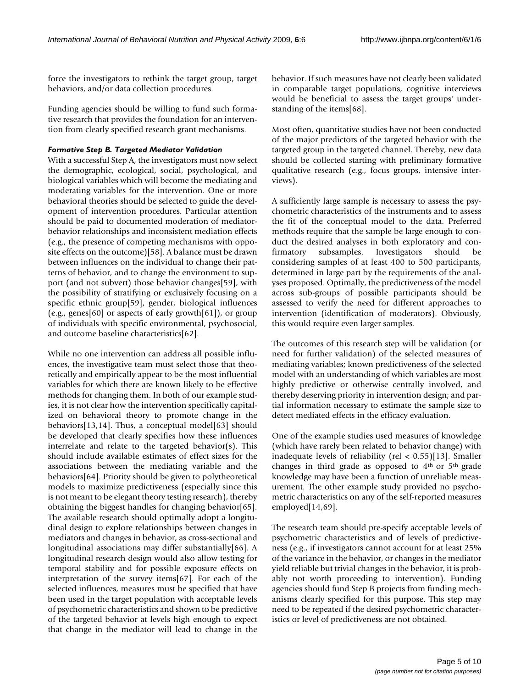force the investigators to rethink the target group, target behaviors, and/or data collection procedures.

Funding agencies should be willing to fund such formative research that provides the foundation for an intervention from clearly specified research grant mechanisms.

#### *Formative Step B. Targeted Mediator Validation*

With a successful Step A, the investigators must now select the demographic, ecological, social, psychological, and biological variables which will become the mediating and moderating variables for the intervention. One or more behavioral theories should be selected to guide the development of intervention procedures. Particular attention should be paid to documented moderation of mediatorbehavior relationships and inconsistent mediation effects (e.g., the presence of competing mechanisms with opposite effects on the outcome)[58]. A balance must be drawn between influences on the individual to change their patterns of behavior, and to change the environment to support (and not subvert) those behavior changes[59], with the possibility of stratifying or exclusively focusing on a specific ethnic group[59], gender, biological influences  $(e.g., genes[60]$  or aspects of early growth $[61]$ , or group of individuals with specific environmental, psychosocial, and outcome baseline characteristics[62].

While no one intervention can address all possible influences, the investigative team must select those that theoretically and empirically appear to be the most influential variables for which there are known likely to be effective methods for changing them. In both of our example studies, it is not clear how the intervention specifically capitalized on behavioral theory to promote change in the behaviors[13,14]. Thus, a conceptual model[63] should be developed that clearly specifies how these influences interrelate and relate to the targeted behavior(s). This should include available estimates of effect sizes for the associations between the mediating variable and the behaviors[64]. Priority should be given to polytheoretical models to maximize predictiveness (especially since this is not meant to be elegant theory testing research), thereby obtaining the biggest handles for changing behavior[65]. The available research should optimally adopt a longitudinal design to explore relationships between changes in mediators and changes in behavior, as cross-sectional and longitudinal associations may differ substantially[66]. A longitudinal research design would also allow testing for temporal stability and for possible exposure effects on interpretation of the survey items[67]. For each of the selected influences, measures must be specified that have been used in the target population with acceptable levels of psychometric characteristics and shown to be predictive of the targeted behavior at levels high enough to expect that change in the mediator will lead to change in the behavior. If such measures have not clearly been validated in comparable target populations, cognitive interviews would be beneficial to assess the target groups' understanding of the items[68].

Most often, quantitative studies have not been conducted of the major predictors of the targeted behavior with the targeted group in the targeted channel. Thereby, new data should be collected starting with preliminary formative qualitative research (e.g., focus groups, intensive interviews).

A sufficiently large sample is necessary to assess the psychometric characteristics of the instruments and to assess the fit of the conceptual model to the data. Preferred methods require that the sample be large enough to conduct the desired analyses in both exploratory and confirmatory subsamples. Investigators should be considering samples of at least 400 to 500 participants, determined in large part by the requirements of the analyses proposed. Optimally, the predictiveness of the model across sub-groups of possible participants should be assessed to verify the need for different approaches to intervention (identification of moderators). Obviously, this would require even larger samples.

The outcomes of this research step will be validation (or need for further validation) of the selected measures of mediating variables; known predictiveness of the selected model with an understanding of which variables are most highly predictive or otherwise centrally involved, and thereby deserving priority in intervention design; and partial information necessary to estimate the sample size to detect mediated effects in the efficacy evaluation.

One of the example studies used measures of knowledge (which have rarely been related to behavior change) with inadequate levels of reliability (rel < 0.55)[13]. Smaller changes in third grade as opposed to  $4<sup>th</sup>$  or  $5<sup>th</sup>$  grade knowledge may have been a function of unreliable measurement. The other example study provided no psychometric characteristics on any of the self-reported measures employed[14,69].

The research team should pre-specify acceptable levels of psychometric characteristics and of levels of predictiveness (e.g., if investigators cannot account for at least 25% of the variance in the behavior, or changes in the mediator yield reliable but trivial changes in the behavior, it is probably not worth proceeding to intervention). Funding agencies should fund Step B projects from funding mechanisms clearly specified for this purpose. This step may need to be repeated if the desired psychometric characteristics or level of predictiveness are not obtained.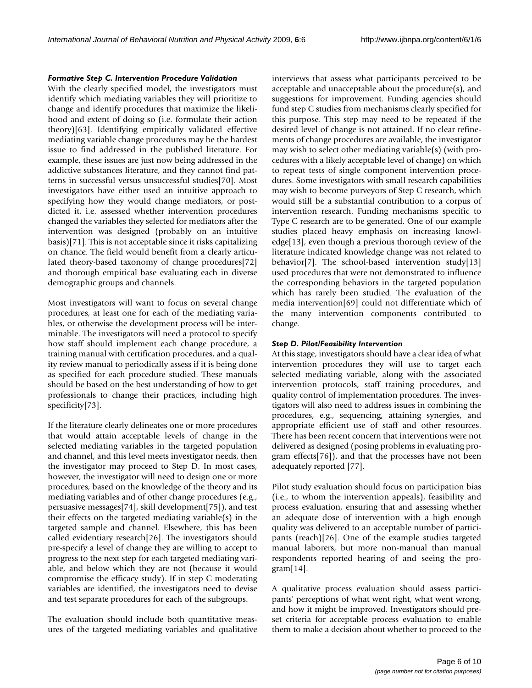#### *Formative Step C. Intervention Procedure Validation*

With the clearly specified model, the investigators must identify which mediating variables they will prioritize to change and identify procedures that maximize the likelihood and extent of doing so (i.e. formulate their action theory)[63]. Identifying empirically validated effective mediating variable change procedures may be the hardest issue to find addressed in the published literature. For example, these issues are just now being addressed in the addictive substances literature, and they cannot find patterns in successful versus unsuccessful studies[70]. Most investigators have either used an intuitive approach to specifying how they would change mediators, or postdicted it, i.e. assessed whether intervention procedures changed the variables they selected for mediators after the intervention was designed (probably on an intuitive basis)[71]. This is not acceptable since it risks capitalizing on chance. The field would benefit from a clearly articulated theory-based taxonomy of change procedures[72] and thorough empirical base evaluating each in diverse demographic groups and channels.

Most investigators will want to focus on several change procedures, at least one for each of the mediating variables, or otherwise the development process will be interminable. The investigators will need a protocol to specify how staff should implement each change procedure, a training manual with certification procedures, and a quality review manual to periodically assess if it is being done as specified for each procedure studied. These manuals should be based on the best understanding of how to get professionals to change their practices, including high specificity[73].

If the literature clearly delineates one or more procedures that would attain acceptable levels of change in the selected mediating variables in the targeted population and channel, and this level meets investigator needs, then the investigator may proceed to Step D. In most cases, however, the investigator will need to design one or more procedures, based on the knowledge of the theory and its mediating variables and of other change procedures (e.g., persuasive messages[74], skill development[75]), and test their effects on the targeted mediating variable(s) in the targeted sample and channel. Elsewhere, this has been called evidentiary research[26]. The investigators should pre-specify a level of change they are willing to accept to progress to the next step for each targeted mediating variable, and below which they are not (because it would compromise the efficacy study). If in step C moderating variables are identified, the investigators need to devise and test separate procedures for each of the subgroups.

The evaluation should include both quantitative measures of the targeted mediating variables and qualitative interviews that assess what participants perceived to be acceptable and unacceptable about the procedure(s), and suggestions for improvement. Funding agencies should fund step C studies from mechanisms clearly specified for this purpose. This step may need to be repeated if the desired level of change is not attained. If no clear refinements of change procedures are available, the investigator may wish to select other mediating variable(s) (with procedures with a likely acceptable level of change) on which to repeat tests of single component intervention procedures. Some investigators with small research capabilities may wish to become purveyors of Step C research, which would still be a substantial contribution to a corpus of intervention research. Funding mechanisms specific to Type C research are to be generated. One of our example studies placed heavy emphasis on increasing knowledge[13], even though a previous thorough review of the literature indicated knowledge change was not related to behavior[7]. The school-based intervention study[13] used procedures that were not demonstrated to influence the corresponding behaviors in the targeted population which has rarely been studied. The evaluation of the media intervention[69] could not differentiate which of the many intervention components contributed to change.

#### *Step D. Pilot/Feasibility Intervention*

At this stage, investigators should have a clear idea of what intervention procedures they will use to target each selected mediating variable, along with the associated intervention protocols, staff training procedures, and quality control of implementation procedures. The investigators will also need to address issues in combining the procedures, e.g., sequencing, attaining synergies, and appropriate efficient use of staff and other resources. There has been recent concern that interventions were not delivered as designed (posing problems in evaluating program effects[76]), and that the processes have not been adequately reported [77].

Pilot study evaluation should focus on participation bias (i.e., to whom the intervention appeals), feasibility and process evaluation, ensuring that and assessing whether an adequate dose of intervention with a high enough quality was delivered to an acceptable number of participants (reach)[26]. One of the example studies targeted manual laborers, but more non-manual than manual respondents reported hearing of and seeing the program[14].

A qualitative process evaluation should assess participants' perceptions of what went right, what went wrong, and how it might be improved. Investigators should preset criteria for acceptable process evaluation to enable them to make a decision about whether to proceed to the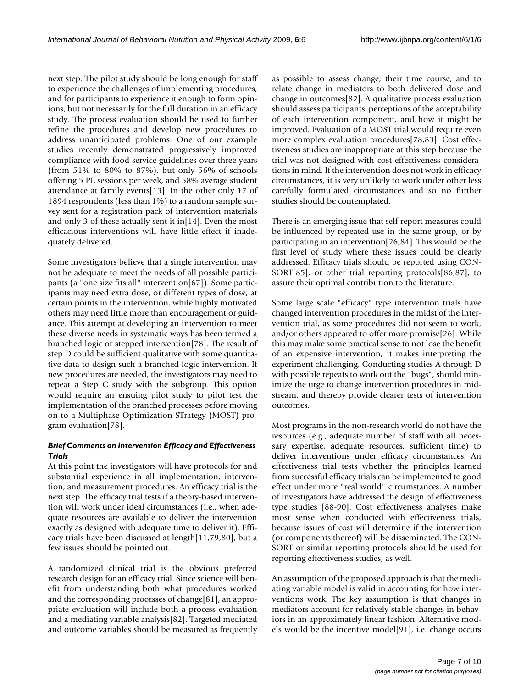next step. The pilot study should be long enough for staff to experience the challenges of implementing procedures, and for participants to experience it enough to form opinions, but not necessarily for the full duration in an efficacy study. The process evaluation should be used to further refine the procedures and develop new procedures to address unanticipated problems. One of our example studies recently demonstrated progressively improved compliance with food service guidelines over three years (from 51% to 80% to 87%), but only 56% of schools offering 5 PE sessions per week, and 58% average student attendance at family events[13]. In the other only 17 of 1894 respondents (less than 1%) to a random sample survey sent for a registration pack of intervention materials and only 3 of these actually sent it in[14]. Even the most efficacious interventions will have little effect if inadequately delivered.

Some investigators believe that a single intervention may not be adequate to meet the needs of all possible participants (a "one size fits all" intervention[67]). Some participants may need extra dose, or different types of dose, at certain points in the intervention, while highly motivated others may need little more than encouragement or guidance. This attempt at developing an intervention to meet these diverse needs in systematic ways has been termed a branched logic or stepped intervention[78]. The result of step D could be sufficient qualitative with some quantitative data to design such a branched logic intervention. If new procedures are needed, the investigators may need to repeat a Step C study with the subgroup. This option would require an ensuing pilot study to pilot test the implementation of the branched processes before moving on to a Multiphase Optimization STrategy (MOST) program evaluation[78].

#### *Brief Comments on Intervention Efficacy and Effectiveness Trials*

At this point the investigators will have protocols for and substantial experience in all implementation, intervention, and measurement procedures. An efficacy trial is the next step. The efficacy trial tests if a theory-based intervention will work under ideal circumstances (i.e., when adequate resources are available to deliver the intervention exactly as designed with adequate time to deliver it). Efficacy trials have been discussed at length[11,79,80], but a few issues should be pointed out.

A randomized clinical trial is the obvious preferred research design for an efficacy trial. Since science will benefit from understanding both what procedures worked and the corresponding processes of change[81], an appropriate evaluation will include both a process evaluation and a mediating variable analysis[82]. Targeted mediated and outcome variables should be measured as frequently as possible to assess change, their time course, and to relate change in mediators to both delivered dose and change in outcomes[82]. A qualitative process evaluation should assess participants' perceptions of the acceptability of each intervention component, and how it might be improved. Evaluation of a MOST trial would require even more complex evaluation procedures[78,83]. Cost effectiveness studies are inappropriate at this step because the trial was not designed with cost effectiveness considerations in mind. If the intervention does not work in efficacy circumstances, it is very unlikely to work under other less carefully formulated circumstances and so no further studies should be contemplated.

There is an emerging issue that self-report measures could be influenced by repeated use in the same group, or by participating in an intervention[26,84]. This would be the first level of study where these issues could be clearly addressed. Efficacy trials should be reported using CON-SORT[85], or other trial reporting protocols[86,87], to assure their optimal contribution to the literature.

Some large scale "efficacy" type intervention trials have changed intervention procedures in the midst of the intervention trial, as some procedures did not seem to work, and/or others appeared to offer more promise[26]. While this may make some practical sense to not lose the benefit of an expensive intervention, it makes interpreting the experiment challenging. Conducting studies A through D with possible repeats to work out the "bugs", should minimize the urge to change intervention procedures in midstream, and thereby provide clearer tests of intervention outcomes.

Most programs in the non-research world do not have the resources (e.g., adequate number of staff with all necessary expertise, adequate resources, sufficient time) to deliver interventions under efficacy circumstances. An effectiveness trial tests whether the principles learned from successful efficacy trials can be implemented to good effect under more "real world" circumstances. A number of investigators have addressed the design of effectiveness type studies [88-90]. Cost effectiveness analyses make most sense when conducted with effectiveness trials, because issues of cost will determine if the intervention (or components thereof) will be disseminated. The CON-SORT or similar reporting protocols should be used for reporting effectiveness studies, as well.

An assumption of the proposed approach is that the mediating variable model is valid in accounting for how interventions work. The key assumption is that changes in mediators account for relatively stable changes in behaviors in an approximately linear fashion. Alternative models would be the incentive model[91], i.e. change occurs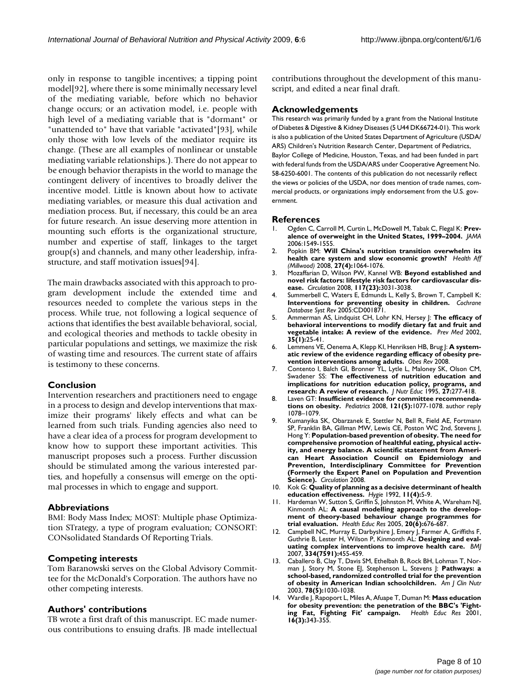only in response to tangible incentives; a tipping point model[92], where there is some minimally necessary level of the mediating variable, before which no behavior change occurs; or an activation model, i.e. people with high level of a mediating variable that is "dormant" or "unattended to" have that variable "activated"[93], while only those with low levels of the mediator require its change. (These are all examples of nonlinear or unstable mediating variable relationships.). There do not appear to be enough behavior therapists in the world to manage the contingent delivery of incentives to broadly deliver the incentive model. Little is known about how to activate mediating variables, or measure this dual activation and mediation process. But, if necessary, this could be an area for future research. An issue deserving more attention in mounting such efforts is the organizational structure, number and expertise of staff, linkages to the target group(s) and channels, and many other leadership, infrastructure, and staff motivation issues[94].

The main drawbacks associated with this approach to program development include the extended time and resources needed to complete the various steps in the process. While true, not following a logical sequence of actions that identifies the best available behavioral, social, and ecological theories and methods to tackle obesity in particular populations and settings, we maximize the risk of wasting time and resources. The current state of affairs is testimony to these concerns.

#### **Conclusion**

Intervention researchers and practitioners need to engage in a process to design and develop interventions that maximize their programs' likely effects and what can be learned from such trials. Funding agencies also need to have a clear idea of a process for program development to know how to support these important activities. This manuscript proposes such a process. Further discussion should be stimulated among the various interested parties, and hopefully a consensus will emerge on the optimal processes in which to engage and support.

#### **Abbreviations**

BMI: Body Mass Index; MOST: Multiple phase Optimization STrategy, a type of program evaluation; CONSORT: CONsolidated Standards Of Reporting Trials.

#### **Competing interests**

Tom Baranowski serves on the Global Advisory Committee for the McDonald's Corporation. The authors have no other competing interests.

#### **Authors' contributions**

TB wrote a first draft of this manuscript. EC made numerous contributions to ensuing drafts. JB made intellectual

contributions throughout the development of this manuscript, and edited a near final draft.

#### **Acknowledgements**

This research was primarily funded by a grant from the National Institute of Diabetes & Digestive & Kidney Diseases (5 U44 DK66724-01). This work is also a publication of the United States Department of Agriculture (USDA/ ARS) Children's Nutrition Research Center, Department of Pediatrics, Baylor College of Medicine, Houston, Texas, and had been funded in part with federal funds from the USDA/ARS under Cooperative Agreement No. 58-6250-6001. The contents of this publication do not necessarily reflect the views or policies of the USDA, nor does mention of trade names, commercial products, or organizations imply endorsement from the U.S. government.

#### **References**

- 1. Ogden C, Carroll M, Curtin L, McDowell M, Tabak C, Flegal K: **[Prev](http://www.ncbi.nlm.nih.gov/entrez/query.fcgi?cmd=Retrieve&db=PubMed&dopt=Abstract&list_uids=16595758)[alence of overweight in the United States, 1999–2004.](http://www.ncbi.nlm.nih.gov/entrez/query.fcgi?cmd=Retrieve&db=PubMed&dopt=Abstract&list_uids=16595758)** *JAMA* 2006:1549-1555.
- 2. Popkin BM: **[Will China's nutrition transition overwhelm its](http://www.ncbi.nlm.nih.gov/entrez/query.fcgi?cmd=Retrieve&db=PubMed&dopt=Abstract&list_uids=18607042) [health care system and slow economic growth?](http://www.ncbi.nlm.nih.gov/entrez/query.fcgi?cmd=Retrieve&db=PubMed&dopt=Abstract&list_uids=18607042)** *Health Aff (Millwood)* 2008, **27(4):**1064-1076.
- 3. Mozaffarian D, Wilson PW, Kannel WB: **[Beyond established and](http://www.ncbi.nlm.nih.gov/entrez/query.fcgi?cmd=Retrieve&db=PubMed&dopt=Abstract&list_uids=18541753) [novel risk factors: lifestyle risk factors for cardiovascular dis](http://www.ncbi.nlm.nih.gov/entrez/query.fcgi?cmd=Retrieve&db=PubMed&dopt=Abstract&list_uids=18541753)[ease.](http://www.ncbi.nlm.nih.gov/entrez/query.fcgi?cmd=Retrieve&db=PubMed&dopt=Abstract&list_uids=18541753)** *Circulation* 2008, **117(23):**3031-3038.
- 4. Summerbell C, Waters E, Edmunds L, Kelly S, Brown T, Campbell K: **[Interventions for preventing obesity in children.](http://www.ncbi.nlm.nih.gov/entrez/query.fcgi?cmd=Retrieve&db=PubMed&dopt=Abstract&list_uids=16034868)** *Cochrane Database Syst Rev* 2005:CD001871.
- 5. Ammerman AS, Lindquist CH, Lohr KN, Hersey J: **[The efficacy of](http://www.ncbi.nlm.nih.gov/entrez/query.fcgi?cmd=Retrieve&db=PubMed&dopt=Abstract&list_uids=12079438) [behavioral interventions to modify dietary fat and fruit and](http://www.ncbi.nlm.nih.gov/entrez/query.fcgi?cmd=Retrieve&db=PubMed&dopt=Abstract&list_uids=12079438) [vegetable intake: A review of the evidence.](http://www.ncbi.nlm.nih.gov/entrez/query.fcgi?cmd=Retrieve&db=PubMed&dopt=Abstract&list_uids=12079438)** *Prev Med* 2002, **35(1):**25-41.
- 6. Lemmens VE, Oenema A, Klepp KI, Henriksen HB, Brug J: **[A system](http://www.ncbi.nlm.nih.gov/entrez/query.fcgi?cmd=Retrieve&db=PubMed&dopt=Abstract&list_uids=18298429)[atic review of the evidence regarding efficacy of obesity pre](http://www.ncbi.nlm.nih.gov/entrez/query.fcgi?cmd=Retrieve&db=PubMed&dopt=Abstract&list_uids=18298429)[vention interventions among adults.](http://www.ncbi.nlm.nih.gov/entrez/query.fcgi?cmd=Retrieve&db=PubMed&dopt=Abstract&list_uids=18298429)** *Obes Rev* 2008.
- 7. Contento I, Balch GI, Bronner YL, Lytle L, Maloney SK, Olson CM, Swadener SS: **The effectiveness of nutrition education and implications for nutrition education policy, programs, and research: A review of research.** *J Nutr Educ* 1995, **27:**277-418.
- 8. Laven GT: **[Insufficient evidence for committee recommenda](http://www.ncbi.nlm.nih.gov/entrez/query.fcgi?cmd=Retrieve&db=PubMed&dopt=Abstract&list_uids=18450921)[tions on obesity.](http://www.ncbi.nlm.nih.gov/entrez/query.fcgi?cmd=Retrieve&db=PubMed&dopt=Abstract&list_uids=18450921)** *Pediatrics* 2008, **121(5):**1077-1078. author reply 1078–1079.
- 9. Kumanyika SK, Obarzanek E, Stettler N, Bell R, Field AE, Fortmann SP, Franklin BA, Gillman MW, Lewis CE, Poston WC 2nd, Stevens J, Hong Y: **[Population-based prevention of obesity. The need for](http://www.ncbi.nlm.nih.gov/entrez/query.fcgi?cmd=Retrieve&db=PubMed&dopt=Abstract&list_uids=18591433) comprehensive promotion of healthful eating, physical activ[ity, and energy balance. A scientific statement from Ameri](http://www.ncbi.nlm.nih.gov/entrez/query.fcgi?cmd=Retrieve&db=PubMed&dopt=Abstract&list_uids=18591433)can Heart Association Council on Epidemiology and Prevention, Interdisciplinary Committee for Prevention (Formerly the Expert Panel on Population and Prevention [Science\).](http://www.ncbi.nlm.nih.gov/entrez/query.fcgi?cmd=Retrieve&db=PubMed&dopt=Abstract&list_uids=18591433)** *Circulation* 2008.
- 10. Kok G: **[Quality of planning as a decisive determinant of health](http://www.ncbi.nlm.nih.gov/entrez/query.fcgi?cmd=Retrieve&db=PubMed&dopt=Abstract&list_uids=1468788) [education effectiveness.](http://www.ncbi.nlm.nih.gov/entrez/query.fcgi?cmd=Retrieve&db=PubMed&dopt=Abstract&list_uids=1468788)** *Hygie* 1992, **11(4):**5-9.
- 11. Hardeman W, Sutton S, Griffin S, Johnston M, White A, Wareham NJ, Kinmonth AL: **[A causal modelling approach to the develop](http://www.ncbi.nlm.nih.gov/entrez/query.fcgi?cmd=Retrieve&db=PubMed&dopt=Abstract&list_uids=15781446)[ment of theory-based behaviour change programmes for](http://www.ncbi.nlm.nih.gov/entrez/query.fcgi?cmd=Retrieve&db=PubMed&dopt=Abstract&list_uids=15781446) [trial evaluation.](http://www.ncbi.nlm.nih.gov/entrez/query.fcgi?cmd=Retrieve&db=PubMed&dopt=Abstract&list_uids=15781446)** *Health Educ Res* 2005, **20(6):**676-687.
- 12. Campbell NC, Murray E, Darbyshire J, Emery J, Farmer A, Griffiths F, Guthrie B, Lester H, Wilson P, Kinmonth AL: **[Designing and eval](http://www.ncbi.nlm.nih.gov/entrez/query.fcgi?cmd=Retrieve&db=PubMed&dopt=Abstract&list_uids=17332585)[uating complex interventions to improve health care.](http://www.ncbi.nlm.nih.gov/entrez/query.fcgi?cmd=Retrieve&db=PubMed&dopt=Abstract&list_uids=17332585)** *BMJ* 2007, **334(7591):**455-459.
- 13. Caballero B, Clay T, Davis SM, Ethelbah B, Rock BH, Lohman T, Norman J, Story M, Stone EJ, Stephenson L, Stevens J: **[Pathways: a](http://www.ncbi.nlm.nih.gov/entrez/query.fcgi?cmd=Retrieve&db=PubMed&dopt=Abstract&list_uids=14594792) [school-based, randomized controlled trial for the prevention](http://www.ncbi.nlm.nih.gov/entrez/query.fcgi?cmd=Retrieve&db=PubMed&dopt=Abstract&list_uids=14594792) [of obesity in American Indian schoolchildren.](http://www.ncbi.nlm.nih.gov/entrez/query.fcgi?cmd=Retrieve&db=PubMed&dopt=Abstract&list_uids=14594792)** *Am J Clin Nutr* 2003, **78(5):**1030-1038.
- 14. Wardle J, Rapoport L, Miles A, Afuape T, Duman M: **[Mass education](http://www.ncbi.nlm.nih.gov/entrez/query.fcgi?cmd=Retrieve&db=PubMed&dopt=Abstract&list_uids=11497117) [for obesity prevention: the penetration of the BBC's 'Fight](http://www.ncbi.nlm.nih.gov/entrez/query.fcgi?cmd=Retrieve&db=PubMed&dopt=Abstract&list_uids=11497117)[ing Fat, Fighting Fit' campaign.](http://www.ncbi.nlm.nih.gov/entrez/query.fcgi?cmd=Retrieve&db=PubMed&dopt=Abstract&list_uids=11497117)** *Health Educ Res* 2001, **16(3):**343-355.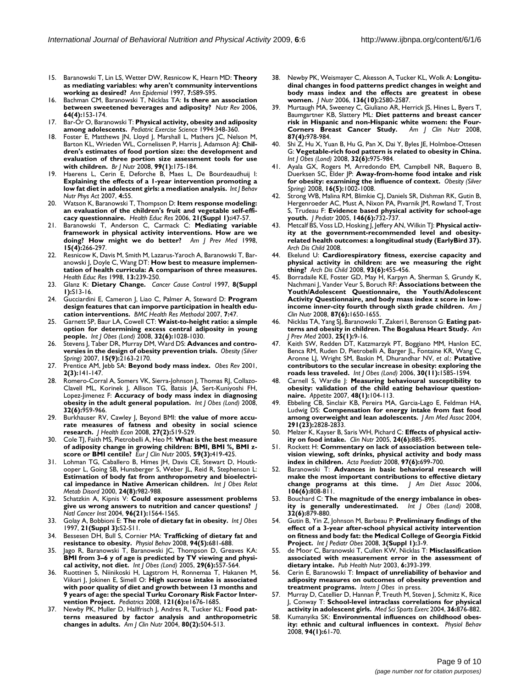- 15. Baranowski T, Lin LS, Wetter DW, Resnicow K, Hearn MD: **Theory as mediating variables: why aren't community interventions working as desired?** *Ann Epidemiol* 1997, **7:**S89-S95.
- 16. Bachman CM, Baranowski T, Nicklas TA: **[Is there an association](http://www.ncbi.nlm.nih.gov/entrez/query.fcgi?cmd=Retrieve&db=PubMed&dopt=Abstract&list_uids=16673752) [between sweetened beverages and adiposity?](http://www.ncbi.nlm.nih.gov/entrez/query.fcgi?cmd=Retrieve&db=PubMed&dopt=Abstract&list_uids=16673752)** *Nutr Rev* 2006, **64(4):**153-174.
- 17. Bar-Or O, Baranowski T: **Physical activity, obesity and adiposity among adolescents.** *Pediatric Exercise Science* 1994:348-360.
- 18. Foster E, Matthews JN, Lloyd J, Marshall L, Mathers JC, Nelson M, Barton KL, Wrieden WL, Cornelissen P, Harris J, Adamson AJ: **[Chil](http://www.ncbi.nlm.nih.gov/entrez/query.fcgi?cmd=Retrieve&db=PubMed&dopt=Abstract&list_uids=17697426)[dren's estimates of food portion size: the development and](http://www.ncbi.nlm.nih.gov/entrez/query.fcgi?cmd=Retrieve&db=PubMed&dopt=Abstract&list_uids=17697426) evaluation of three portion size assessment tools for use [with children.](http://www.ncbi.nlm.nih.gov/entrez/query.fcgi?cmd=Retrieve&db=PubMed&dopt=Abstract&list_uids=17697426)** *Br J Nutr* 2008, **99(1):**175-184.
- 19. Haerens L, Cerin E, Deforche B, Maes L, De Bourdeaudhuij I: **[Explaining the effects of a 1-year intervention promoting a](http://www.ncbi.nlm.nih.gov/entrez/query.fcgi?cmd=Retrieve&db=PubMed&dopt=Abstract&list_uids=17996087) [low fat diet in adolescent girls: a mediation analysis.](http://www.ncbi.nlm.nih.gov/entrez/query.fcgi?cmd=Retrieve&db=PubMed&dopt=Abstract&list_uids=17996087)** *Int J Behav Nutr Phys Act* 2007, **4:**55.
- 20. Watson K, Baranowski T, Thompson D: **[Item response modeling:](http://www.ncbi.nlm.nih.gov/entrez/query.fcgi?cmd=Retrieve&db=PubMed&dopt=Abstract&list_uids=17077167) [an evaluation of the children's fruit and vegetable self-effi](http://www.ncbi.nlm.nih.gov/entrez/query.fcgi?cmd=Retrieve&db=PubMed&dopt=Abstract&list_uids=17077167)[cacy questionnaire.](http://www.ncbi.nlm.nih.gov/entrez/query.fcgi?cmd=Retrieve&db=PubMed&dopt=Abstract&list_uids=17077167)** *Health Educ Res* 2006, **21(Suppl 1):**i47-57.
- 21. Baranowski T, Anderson C, Carmack C: **[Mediating variable](http://www.ncbi.nlm.nih.gov/entrez/query.fcgi?cmd=Retrieve&db=PubMed&dopt=Abstract&list_uids=9838973) [framework in physical activity interventions. How are we](http://www.ncbi.nlm.nih.gov/entrez/query.fcgi?cmd=Retrieve&db=PubMed&dopt=Abstract&list_uids=9838973) [doing? How might we do better?](http://www.ncbi.nlm.nih.gov/entrez/query.fcgi?cmd=Retrieve&db=PubMed&dopt=Abstract&list_uids=9838973)** *Am J Prev Med* 1998, **15(4):**266-297.
- 22. Resnicow K, Davis M, Smith M, Lazarus-Yaroch A, Baranowski T, Baranowski J, Doyle C, Wang DT: **[How best to measure implemen](http://www.ncbi.nlm.nih.gov/entrez/query.fcgi?cmd=Retrieve&db=PubMed&dopt=Abstract&list_uids=10181022)[tation of health curricula: A comparison of three measures.](http://www.ncbi.nlm.nih.gov/entrez/query.fcgi?cmd=Retrieve&db=PubMed&dopt=Abstract&list_uids=10181022)** *Health Educ Res* 1998, **13:**239-250.
- 23. Glanz K: **Dietary Change.** *Cancer Cause Control* 1997, **8(Suppl 1):**S13-16.
- 24. Gucciardini E, Cameron J, Liao C, Palmer A, Steward D: **Program design features that can imporve participation in health education interventions.** *BMC Health Res Methodol* 2007, **7:**47.
- 25. Garnett SP, Baur LA, Cowell CT: **[Waist-to-height ratio: a simple](http://www.ncbi.nlm.nih.gov/entrez/query.fcgi?cmd=Retrieve&db=PubMed&dopt=Abstract&list_uids=18414423) [option for determining excess central adiposity in young](http://www.ncbi.nlm.nih.gov/entrez/query.fcgi?cmd=Retrieve&db=PubMed&dopt=Abstract&list_uids=18414423) [people.](http://www.ncbi.nlm.nih.gov/entrez/query.fcgi?cmd=Retrieve&db=PubMed&dopt=Abstract&list_uids=18414423)** *Int J Obes (Lond)* 2008, **32(6):**1028-1030.
- 26. Stevens J, Taber DR, Murray DM, Ward DS: **[Advances and contro](http://www.ncbi.nlm.nih.gov/entrez/query.fcgi?cmd=Retrieve&db=PubMed&dopt=Abstract&list_uids=17890483)[versies in the design of obesity prevention trials.](http://www.ncbi.nlm.nih.gov/entrez/query.fcgi?cmd=Retrieve&db=PubMed&dopt=Abstract&list_uids=17890483)** *Obesity (Silver Spring)* 2007, **15(9):**2163-2170.
- 27. Prentice AM, Jebb SA: **[Beyond body mass index.](http://www.ncbi.nlm.nih.gov/entrez/query.fcgi?cmd=Retrieve&db=PubMed&dopt=Abstract&list_uids=12120099)** *Obes Rev* 2001, **2(3):**141-147.
- 28. Romero-Corral A, Somers VK, Sierra-Johnson J, Thomas RJ, Collazo-Clavell ML, Korinek J, Allison TG, Batsis JA, Sert-Kuniyoshi FH, Lopez-Jimenez F: **[Accuracy of body mass index in diagnosing](http://www.ncbi.nlm.nih.gov/entrez/query.fcgi?cmd=Retrieve&db=PubMed&dopt=Abstract&list_uids=18283284) [obesity in the adult general population.](http://www.ncbi.nlm.nih.gov/entrez/query.fcgi?cmd=Retrieve&db=PubMed&dopt=Abstract&list_uids=18283284)** *Int J Obes (Lond)* 2008, **32(6):**959-966.
- 29. Burkhauser RV, Cawley J, Beyond BMI: **[the value of more accu](http://www.ncbi.nlm.nih.gov/entrez/query.fcgi?cmd=Retrieve&db=PubMed&dopt=Abstract&list_uids=18166236)[rate measures of fatness and obesity in social science](http://www.ncbi.nlm.nih.gov/entrez/query.fcgi?cmd=Retrieve&db=PubMed&dopt=Abstract&list_uids=18166236) [research.](http://www.ncbi.nlm.nih.gov/entrez/query.fcgi?cmd=Retrieve&db=PubMed&dopt=Abstract&list_uids=18166236)** *J Health Econ* 2008, **27(2):**519-529.
- 30. Cole TJ, Faith MS, Pietrobelli A, Heo M: **[What is the best measure](http://www.ncbi.nlm.nih.gov/entrez/query.fcgi?cmd=Retrieve&db=PubMed&dopt=Abstract&list_uids=15674315) [of adiposity change in growing children: BMI, BMI %, BMI z](http://www.ncbi.nlm.nih.gov/entrez/query.fcgi?cmd=Retrieve&db=PubMed&dopt=Abstract&list_uids=15674315)[score or BMI centile?](http://www.ncbi.nlm.nih.gov/entrez/query.fcgi?cmd=Retrieve&db=PubMed&dopt=Abstract&list_uids=15674315)** *Eur J Clin Nutr* 2005, **59(3):**419-425.
- 31. Lohman TG, Caballero B, Himes JH, Davis CE, Stewart D, Houtkooper L, Going SB, Hunsberger S, Weber JL, Reid R, Stephenson L: **[Estimation of body fat from anthropometry and bioelectri](http://www.ncbi.nlm.nih.gov/entrez/query.fcgi?cmd=Retrieve&db=PubMed&dopt=Abstract&list_uids=10951536)[cal impedance in Native American children.](http://www.ncbi.nlm.nih.gov/entrez/query.fcgi?cmd=Retrieve&db=PubMed&dopt=Abstract&list_uids=10951536)** *Int J Obes Relat Metab Disord* 2000, **24(8):**982-988.
- 32. Schatzkin A, Kipnis V: **[Could exposure assessment problems](http://www.ncbi.nlm.nih.gov/entrez/query.fcgi?cmd=Retrieve&db=PubMed&dopt=Abstract&list_uids=15523078) [give us wrong answers to nutrition and cancer questions?](http://www.ncbi.nlm.nih.gov/entrez/query.fcgi?cmd=Retrieve&db=PubMed&dopt=Abstract&list_uids=15523078)** *J Natl Cancer Inst* 2004, **96(21):**1564-1565.
- 33. Golay A, Bobbioni E: **The role of dietary fat in obesity.** *Int J Obes* 1997, **21(Suppl 3):**S2-S11.
- 34. Bessesen DH, Bull S, Cornier MA: **[Trafficking of dietary fat and](http://www.ncbi.nlm.nih.gov/entrez/query.fcgi?cmd=Retrieve&db=PubMed&dopt=Abstract&list_uids=18514237) [resistance to obesity.](http://www.ncbi.nlm.nih.gov/entrez/query.fcgi?cmd=Retrieve&db=PubMed&dopt=Abstract&list_uids=18514237)** *Physiol Behav* 2008, **94(5):**681-688.
- 35. Jago R, Baranowski T, Baranowski JC, Thompson D, Greaves KA: **[BMI from 3–6 y of age is predicted by TV viewing and physi](http://www.ncbi.nlm.nih.gov/entrez/query.fcgi?cmd=Retrieve&db=PubMed&dopt=Abstract&list_uids=15889113)[cal activity, not diet.](http://www.ncbi.nlm.nih.gov/entrez/query.fcgi?cmd=Retrieve&db=PubMed&dopt=Abstract&list_uids=15889113)** *Int J Obes (Lond)* 2005, **29(6):**557-564.
- 36. Ruottinen S, Niinikoski H, Lagstrom H, Ronnemaa T, Hakanen M, Viikari J, Jokinen E, Simell O: **[High sucrose intake is associated](http://www.ncbi.nlm.nih.gov/entrez/query.fcgi?cmd=Retrieve&db=PubMed&dopt=Abstract&list_uids=18519471) [with poor quality of diet and growth between 13 months and](http://www.ncbi.nlm.nih.gov/entrez/query.fcgi?cmd=Retrieve&db=PubMed&dopt=Abstract&list_uids=18519471) 9 years of age: the special Turku Coronary Risk Factor Inter[vention Project.](http://www.ncbi.nlm.nih.gov/entrez/query.fcgi?cmd=Retrieve&db=PubMed&dopt=Abstract&list_uids=18519471)** *Pediatrics* 2008, **121(6):**e1676-1685.
- Newby PK, Muller D, Hallfrisch J, Andres R, Tucker KL: [Food pat](http://www.ncbi.nlm.nih.gov/entrez/query.fcgi?cmd=Retrieve&db=PubMed&dopt=Abstract&list_uids=15277177)**[terns measured by factor analysis and anthropometric](http://www.ncbi.nlm.nih.gov/entrez/query.fcgi?cmd=Retrieve&db=PubMed&dopt=Abstract&list_uids=15277177) [changes in adults.](http://www.ncbi.nlm.nih.gov/entrez/query.fcgi?cmd=Retrieve&db=PubMed&dopt=Abstract&list_uids=15277177)** *Am J Clin Nutr* 2004, **80(2):**504-513.
- 38. Newby PK, Weismayer C, Akesson A, Tucker KL, Wolk A: **[Longitu](http://www.ncbi.nlm.nih.gov/entrez/query.fcgi?cmd=Retrieve&db=PubMed&dopt=Abstract&list_uids=16988130)[dinal changes in food patterns predict changes in weight and](http://www.ncbi.nlm.nih.gov/entrez/query.fcgi?cmd=Retrieve&db=PubMed&dopt=Abstract&list_uids=16988130) body mass index and the effects are greatest in obese [women.](http://www.ncbi.nlm.nih.gov/entrez/query.fcgi?cmd=Retrieve&db=PubMed&dopt=Abstract&list_uids=16988130)** *J Nutr* 2006, **136(10):**2580-2587.
- 39. Murtaugh MA, Sweeney C, Giuliano AR, Herrick JS, Hines L, Byers T, Baumgartner KB, Slattery ML: **[Diet patterns and breast cancer](http://www.ncbi.nlm.nih.gov/entrez/query.fcgi?cmd=Retrieve&db=PubMed&dopt=Abstract&list_uids=18400722) [risk in Hispanic and non-Hispanic white women: the Four-](http://www.ncbi.nlm.nih.gov/entrez/query.fcgi?cmd=Retrieve&db=PubMed&dopt=Abstract&list_uids=18400722)[Corners Breast Cancer Study.](http://www.ncbi.nlm.nih.gov/entrez/query.fcgi?cmd=Retrieve&db=PubMed&dopt=Abstract&list_uids=18400722) 87(4):**978-984.
- 40. Shi Z, Hu X, Yuan B, Hu G, Pan X, Dai Y, Byles JE, Holmboe-Ottesen G: **[Vegetable-rich food pattern is related to obesity in China.](http://www.ncbi.nlm.nih.gov/entrez/query.fcgi?cmd=Retrieve&db=PubMed&dopt=Abstract&list_uids=18317472)** *Int J Obes (Lond)* 2008, **32(6):**975-984.
- 41. Ayala GX, Rogers M, Arredondo EM, Campbell NR, Baquero B, Duerksen SC, Elder JP: **[Away-from-home food intake and risk](http://www.ncbi.nlm.nih.gov/entrez/query.fcgi?cmd=Retrieve&db=PubMed&dopt=Abstract&list_uids=18309297) [for obesity: examining the influence of context.](http://www.ncbi.nlm.nih.gov/entrez/query.fcgi?cmd=Retrieve&db=PubMed&dopt=Abstract&list_uids=18309297)** *Obesity (Silver Spring)* 2008, **16(5):**1002-1008.
- Strong WB, Malina RM, Blimkie CJ, Daniels SR, Dishman RK, Gutin B, Hergenroeder AC, Must A, Nixon PA, Pivarnik JM, Rowland T, Trost S, Trudeau F: **[Evidence based physical activity for school-age](http://www.ncbi.nlm.nih.gov/entrez/query.fcgi?cmd=Retrieve&db=PubMed&dopt=Abstract&list_uids=15973308) [youth.](http://www.ncbi.nlm.nih.gov/entrez/query.fcgi?cmd=Retrieve&db=PubMed&dopt=Abstract&list_uids=15973308)** *J Pediatr* 2005, **146(6):**732-737.
- 43. Metcalf BS, Voss LD, Hosking J, Jeffery AN, Wilkin TJ: **[Physical activ](http://www.ncbi.nlm.nih.gov/entrez/query.fcgi?cmd=Retrieve&db=PubMed&dopt=Abstract&list_uids=18591181)[ity at the government-recommended level and obesity](http://www.ncbi.nlm.nih.gov/entrez/query.fcgi?cmd=Retrieve&db=PubMed&dopt=Abstract&list_uids=18591181)related health outcomes: a longitudinal study (EarlyBird 37).** *Arch Dis Child* 2008.
- 44. Ekelund U: **[Cardiorespiratory fitness, exercise capacity and](http://www.ncbi.nlm.nih.gov/entrez/query.fcgi?cmd=Retrieve&db=PubMed&dopt=Abstract&list_uids=18495907) [physical activity in children: are we measuring the right](http://www.ncbi.nlm.nih.gov/entrez/query.fcgi?cmd=Retrieve&db=PubMed&dopt=Abstract&list_uids=18495907) [thing?](http://www.ncbi.nlm.nih.gov/entrez/query.fcgi?cmd=Retrieve&db=PubMed&dopt=Abstract&list_uids=18495907)** *Arch Dis Child* 2008, **93(6):**455-456.
- 45. Borradaile KE, Foster GD, May H, Karpyn A, Sherman S, Grundy K, Nachmani J, Vander Veur S, Boruch RF: **[Associations between the](http://www.ncbi.nlm.nih.gov/entrez/query.fcgi?cmd=Retrieve&db=PubMed&dopt=Abstract&list_uids=18541552) [Youth/Adolescent Questionnaire, the Youth/Adolescent](http://www.ncbi.nlm.nih.gov/entrez/query.fcgi?cmd=Retrieve&db=PubMed&dopt=Abstract&list_uids=18541552) Activity Questionnaire, and body mass index z score in low[income inner-city fourth through sixth grade children.](http://www.ncbi.nlm.nih.gov/entrez/query.fcgi?cmd=Retrieve&db=PubMed&dopt=Abstract&list_uids=18541552)** *Am J Clin Nutr* 2008, **87(6):**1650-1655.
- 46. Nicklas TA, Yang SJ, Baranowski T, Zakeri I, Berenson G: **[Eating pat](http://www.ncbi.nlm.nih.gov/entrez/query.fcgi?cmd=Retrieve&db=PubMed&dopt=Abstract&list_uids=12818304)[terns and obesity in children. The Bogalusa Heart Study.](http://www.ncbi.nlm.nih.gov/entrez/query.fcgi?cmd=Retrieve&db=PubMed&dopt=Abstract&list_uids=12818304)** *Am J Prev Med* 2003, **25(1):**9-16.
- 47. Keith SW, Redden DT, Katzmarzyk PT, Boggiano MM, Hanlon EC, Benca RM, Ruden D, Pietrobelli A, Barger JL, Fontaine KR, Wang C, Aronne LJ, Wright SM, Baskin M, Dhurandhar NV, *et al.*: **[Putative](http://www.ncbi.nlm.nih.gov/entrez/query.fcgi?cmd=Retrieve&db=PubMed&dopt=Abstract&list_uids=16801930) [contributors to the secular increase in obesity: exploring the](http://www.ncbi.nlm.nih.gov/entrez/query.fcgi?cmd=Retrieve&db=PubMed&dopt=Abstract&list_uids=16801930) [roads less traveled.](http://www.ncbi.nlm.nih.gov/entrez/query.fcgi?cmd=Retrieve&db=PubMed&dopt=Abstract&list_uids=16801930)** *Int J Obes (Lond)* 2006, **30(11):**1585-1594.
- 48. Carnell S, Wardle J: **[Measuring behavioural susceptibility to](http://www.ncbi.nlm.nih.gov/entrez/query.fcgi?cmd=Retrieve&db=PubMed&dopt=Abstract&list_uids=16962207) [obesity: validation of the child eating behaviour question](http://www.ncbi.nlm.nih.gov/entrez/query.fcgi?cmd=Retrieve&db=PubMed&dopt=Abstract&list_uids=16962207)[naire.](http://www.ncbi.nlm.nih.gov/entrez/query.fcgi?cmd=Retrieve&db=PubMed&dopt=Abstract&list_uids=16962207)** *Appetite* 2007, **48(1):**104-113.
- 49. Ebbeling CB, Sinclair KB, Pereira MA, Garcia-Lago E, Feldman HA, Ludwig DS: **Compensation for energy intake from fast food among overweight and lean adolescents.** *J Am Med Assoc* 2004, **291(23):**2828-2833.
- 50. Melzer K, Kayser B, Saris WH, Pichard C: **[Effects of physical activ](http://www.ncbi.nlm.nih.gov/entrez/query.fcgi?cmd=Retrieve&db=PubMed&dopt=Abstract&list_uids=16039759)[ity on food intake.](http://www.ncbi.nlm.nih.gov/entrez/query.fcgi?cmd=Retrieve&db=PubMed&dopt=Abstract&list_uids=16039759)** *Clin Nutr* 2005, **24(6):**885-895.
- 51. Rockett H: **[Commentary on lack of association between tele](http://www.ncbi.nlm.nih.gov/entrez/query.fcgi?cmd=Retrieve&db=PubMed&dopt=Abstract&list_uids=18460103)[vision viewing, soft drinks, physical activity and body mass](http://www.ncbi.nlm.nih.gov/entrez/query.fcgi?cmd=Retrieve&db=PubMed&dopt=Abstract&list_uids=18460103) [index in children.](http://www.ncbi.nlm.nih.gov/entrez/query.fcgi?cmd=Retrieve&db=PubMed&dopt=Abstract&list_uids=18460103)** *Acta Paediatr* 2008, **97(6):**699-700.
- Baranowski T: [Advances in basic behavioral research will](http://www.ncbi.nlm.nih.gov/entrez/query.fcgi?cmd=Retrieve&db=PubMed&dopt=Abstract&list_uids=16720121) **[make the most important contributions to effective dietary](http://www.ncbi.nlm.nih.gov/entrez/query.fcgi?cmd=Retrieve&db=PubMed&dopt=Abstract&list_uids=16720121) [change programs at this time.](http://www.ncbi.nlm.nih.gov/entrez/query.fcgi?cmd=Retrieve&db=PubMed&dopt=Abstract&list_uids=16720121)** *J Am Diet Assoc* 2006, **106(6):**808-811.
- 53. Bouchard C: **[The magnitude of the energy imbalance in obes](http://www.ncbi.nlm.nih.gov/entrez/query.fcgi?cmd=Retrieve&db=PubMed&dopt=Abstract&list_uids=18197179)[ity is generally underestimated.](http://www.ncbi.nlm.nih.gov/entrez/query.fcgi?cmd=Retrieve&db=PubMed&dopt=Abstract&list_uids=18197179)** *Int J Obes (Lond)* 2008, **32(6):**879-880.
- 54. Gutin B, Yin Z, Johnson M, Barbeau P: **[Preliminary findings of the](http://www.ncbi.nlm.nih.gov/entrez/query.fcgi?cmd=Retrieve&db=PubMed&dopt=Abstract&list_uids=18278626) [effect of a 3-year after-school physical activity intervention](http://www.ncbi.nlm.nih.gov/entrez/query.fcgi?cmd=Retrieve&db=PubMed&dopt=Abstract&list_uids=18278626) on fitness and body fat: the Medical College of Georgia Fitkid [Project.](http://www.ncbi.nlm.nih.gov/entrez/query.fcgi?cmd=Retrieve&db=PubMed&dopt=Abstract&list_uids=18278626)** *Int J Pediatr Obes* 2008, **3(Suppl 1):**3-9.
- 55. de Moor C, Baranowski T, Cullen KW, Nicklas T: **Misclassification associated with measurement error in the assessment of dietary intake.** *Pub Health Nutr* 2003, **6:**393-399.
- 56. Cerin E, Baranowski T: **Impact of unreliability of behavior and adiposity measures on outcomes of obesity prevention and treatment programs.** *Intern J Obes* in press.
- 57. Murray D, Catellier D, Hannan P, Treuth M, Steven J, Schmitz K, Rice J, Conway T: **[School-level intraclass correlations for physical](http://www.ncbi.nlm.nih.gov/entrez/query.fcgi?cmd=Retrieve&db=PubMed&dopt=Abstract&list_uids=15126724) [activity in adolescent girls.](http://www.ncbi.nlm.nih.gov/entrez/query.fcgi?cmd=Retrieve&db=PubMed&dopt=Abstract&list_uids=15126724)** *Med Sci Sports Exerc* 2004, **36:**876-882.
- 58. Kumanyika SK: **[Environmental influences on childhood obes](http://www.ncbi.nlm.nih.gov/entrez/query.fcgi?cmd=Retrieve&db=PubMed&dopt=Abstract&list_uids=18158165)[ity: ethnic and cultural influences in context.](http://www.ncbi.nlm.nih.gov/entrez/query.fcgi?cmd=Retrieve&db=PubMed&dopt=Abstract&list_uids=18158165)** *Physiol Behav* 2008, **94(1):**61-70.